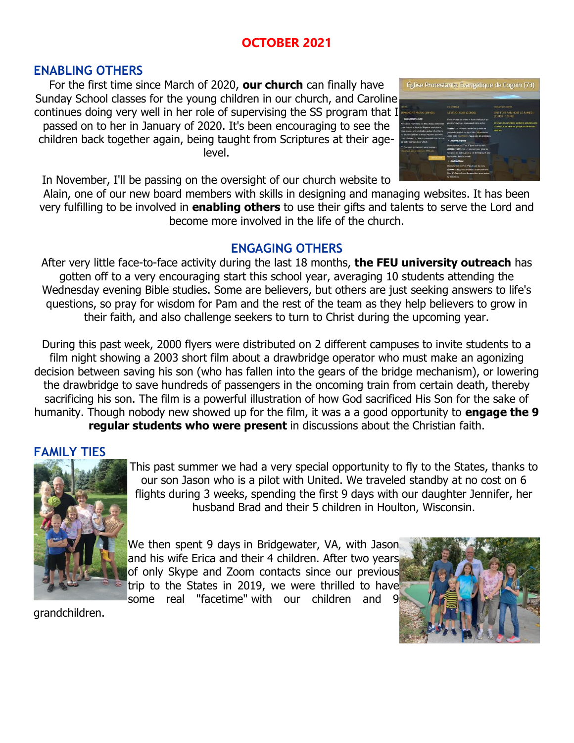# **OCTOBER 2021**

### **ENABLING OTHERS**

For the first time since March of 2020, **our church** can finally have Sunday School classes for the young children in our church, and Caroline continues doing very well in her role of supervising the SS program that I passed on to her in January of 2020. It's been encouraging to see the children back together again, being taught from Scriptures at their agelevel.



In November, I'll be passing on the oversight of our church website to

Alain, one of our new board members with skills in designing and managing websites. It has been very fulfilling to be involved in **enabling others** to use their gifts and talents to serve the Lord and become more involved in the life of the church.

## **ENGAGING OTHERS**

After very little face-to-face activity during the last 18 months, **the FEU university outreach** has gotten off to a very encouraging start this school year, averaging 10 students attending the Wednesday evening Bible studies. Some are believers, but others are just seeking answers to life's questions, so pray for wisdom for Pam and the rest of the team as they help believers to grow in their faith, and also challenge seekers to turn to Christ during the upcoming year.

During this past week, 2000 flyers were distributed on 2 different campuses to invite students to a film night showing a 2003 short film about a drawbridge operator who must make an agonizing decision between saving his son (who has fallen into the gears of the bridge mechanism), or lowering the drawbridge to save hundreds of passengers in the oncoming train from certain death, thereby sacrificing his son. The film is a powerful illustration of how God sacrificed His Son for the sake of humanity. Though nobody new showed up for the film, it was a a good opportunity to **engage the 9 regular students who were present** in discussions about the Christian faith.

# **FAMILY TIES**



This past summer we had a very special opportunity to fly to the States, thanks to our son Jason who is a pilot with United. We traveled standby at no cost on 6 flights during 3 weeks, spending the first 9 days with our daughter Jennifer, her husband Brad and their 5 children in Houlton, Wisconsin.

We then spent 9 days in Bridgewater, VA, with Jason and his wife Erica and their 4 children. After two years of only Skype and Zoom contacts since our previous trip to the States in 2019, we were thrilled to have some real "facetime" with our children and 9

grandchildren.